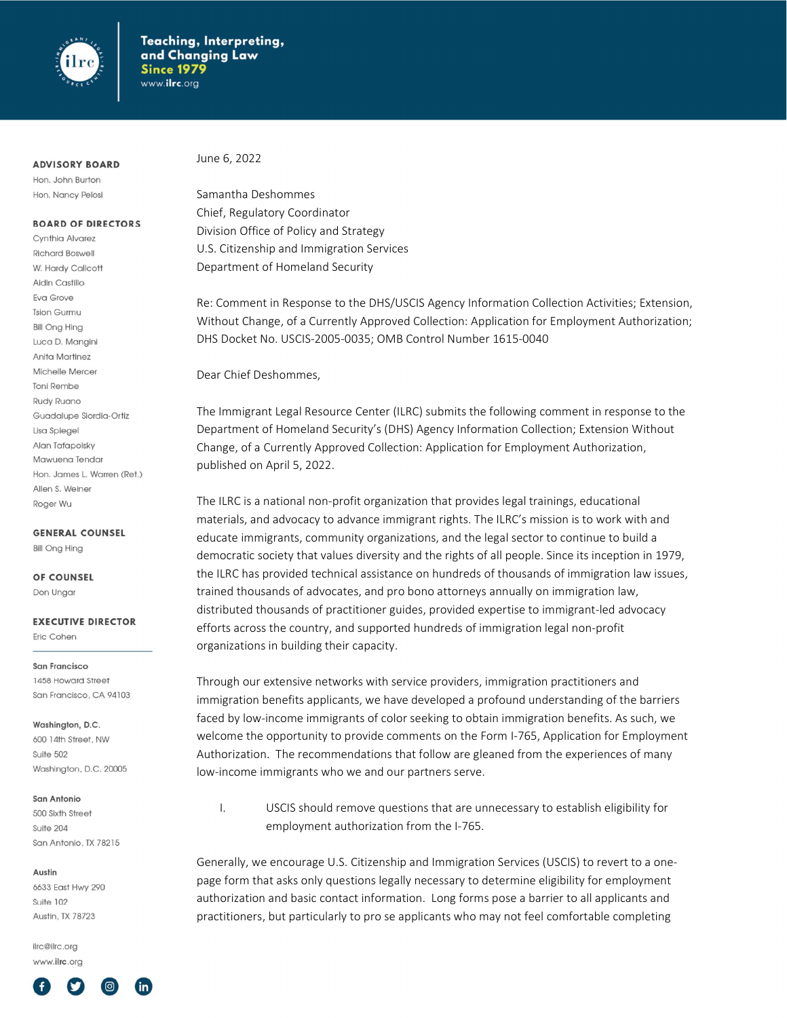

### **ADVISORY BOARD**

Hon. John Burton Hon. Nancy Pelosi

## **BOARD OF DIRECTORS**

Cynthia Alvarez **Richard Boswell** W. Hardy Callcott Aidin Castillo Eva Grove **Tsion Gurmu Bill Ong Hing** Luca D. Mangini **Anita Martinez** Michelle Mercer **Toni Rembe** Rudy Ruano Guadalupe Siordia-Ortiz Lisa Spiegel Alan Tafapolsky Mawuena Tendar Hon, James L. Warren (Ret.) Allen S. Weiner Roger Wu

**GENERAL COUNSEL Bill Ong Hing** 

OF COUNSEL Don Ungar

#### **EXECUTIVE DIRECTOR** Eric Cohen

**San Francisco** 1458 Howard Street

San Francisco, CA 94103

Washington, D.C. 600 14th Street, NW Suite 502 Washington, D.C. 20005

San Antonio 500 Sixth Street Suite 204 San Antonio, TX 78215

#### Austin

6633 East Hwy 290  $S$ uite  $102$ Austin, TX 78723

ilrc@ilrc.org www.ilrc.org



June 6, 2022

Samantha Deshommes Chief, Regulatory Coordinator Division Office of Policy and Strategy U.S. Citizenship and Immigration Services Department of Homeland Security

Re: Comment in Response to the DHS/USCIS Agency Information Collection Activities; Extension, Without Change, of a Currently Approved Collection: Application for Employment Authorization; DHS Docket No. USCIS-2005-0035; OMB Control Number 1615-0040

Dear Chief Deshommes,

The Immigrant Legal Resource Center (ILRC) submits the following comment in response to the Department of Homeland Security's (DHS) Agency Information Collection; Extension Without Change, of a Currently Approved Collection: Application for Employment Authorization, published on April 5, 2022.

The ILRC is a national non-profit organization that provides legal trainings, educational materials, and advocacy to advance immigrant rights. The ILRC's mission is to work with and educate immigrants, community organizations, and the legal sector to continue to build a democratic society that values diversity and the rights of all people. Since its inception in 1979, the ILRC has provided technical assistance on hundreds of thousands of immigration law issues, trained thousands of advocates, and pro bono attorneys annually on immigration law, distributed thousands of practitioner guides, provided expertise to immigrant-led advocacy efforts across the country, and supported hundreds of immigration legal non-profit organizations in building their capacity.

Through our extensive networks with service providers, immigration practitioners and immigration benefits applicants, we have developed a profound understanding of the barriers faced by low-income immigrants of color seeking to obtain immigration benefits. As such, we welcome the opportunity to provide comments on the Form I-765, Application for Employment Authorization. The recommendations that follow are gleaned from the experiences of many low-income immigrants who we and our partners serve.

I. USCIS should remove questions that are unnecessary to establish eligibility for employment authorization from the I-765.

Generally, we encourage U.S. Citizenship and Immigration Services (USCIS) to revert to a onepage form that asks only questions legally necessary to determine eligibility for employment authorization and basic contact information. Long forms pose a barrier to all applicants and practitioners, but particularly to pro se applicants who may not feel comfortable completing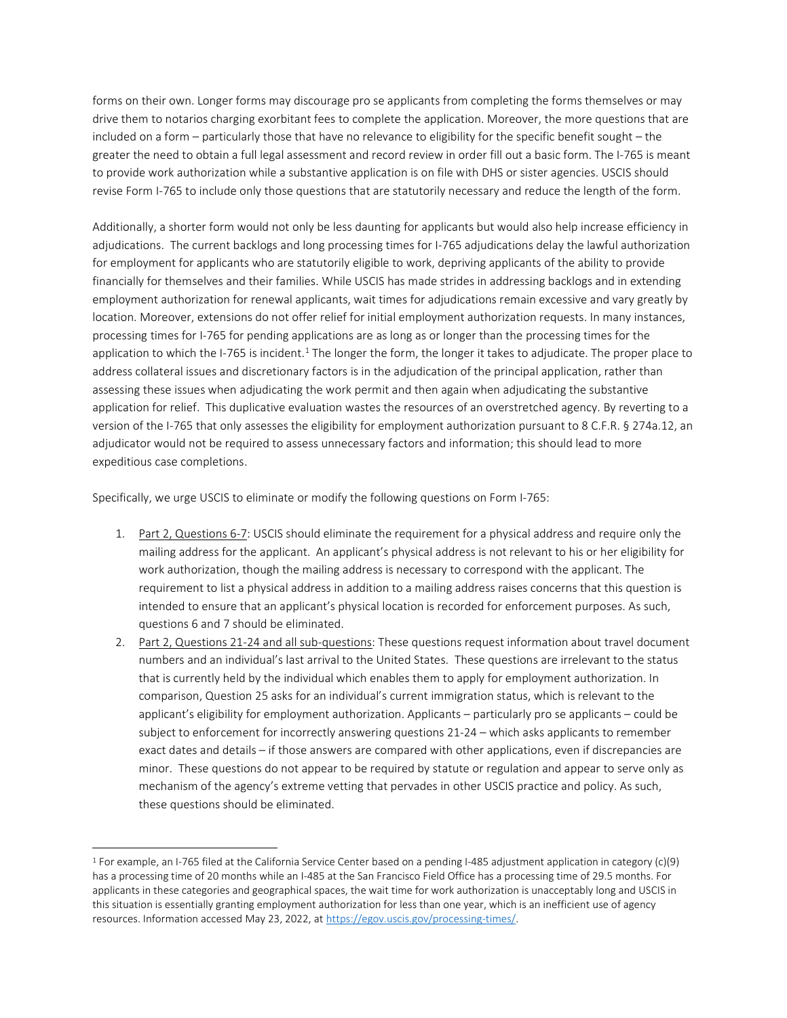forms on their own. Longer forms may discourage pro se applicants from completing the forms themselves or may drive them to notarios charging exorbitant fees to complete the application. Moreover, the more questions that are included on a form – particularly those that have no relevance to eligibility for the specific benefit sought – the greater the need to obtain a full legal assessment and record review in order fill out a basic form. The I-765 is meant to provide work authorization while a substantive application is on file with DHS or sister agencies. USCIS should revise Form I-765 to include only those questions that are statutorily necessary and reduce the length of the form.

Additionally, a shorter form would not only be less daunting for applicants but would also help increase efficiency in adjudications. The current backlogs and long processing times for I-765 adjudications delay the lawful authorization for employment for applicants who are statutorily eligible to work, depriving applicants of the ability to provide financially for themselves and their families. While USCIS has made strides in addressing backlogs and in extending employment authorization for renewal applicants, wait times for adjudications remain excessive and vary greatly by location. Moreover, extensions do not offer relief for initial employment authorization requests. In many instances, processing times for I-765 for pending applications are as long as or longer than the processing times for the application to which the I-765 is incident.<sup>1</sup> The longer the form, the longer it takes to adjudicate. The proper place to address collateral issues and discretionary factors is in the adjudication of the principal application, rather than assessing these issues when adjudicating the work permit and then again when adjudicating the substantive application for relief. This duplicative evaluation wastes the resources of an overstretched agency. By reverting to a version of the I-765 that only assesses the eligibility for employment authorization pursuant to 8 C.F.R. § 274a.12, an adjudicator would not be required to assess unnecessary factors and information; this should lead to more expeditious case completions.

Specifically, we urge USCIS to eliminate or modify the following questions on Form I-765:

- 1. Part 2, Questions 6-7: USCIS should eliminate the requirement for a physical address and require only the mailing address for the applicant. An applicant's physical address is not relevant to his or her eligibility for work authorization, though the mailing address is necessary to correspond with the applicant. The requirement to list a physical address in addition to a mailing address raises concerns that this question is intended to ensure that an applicant's physical location is recorded for enforcement purposes. As such, questions 6 and 7 should be eliminated.
- 2. Part 2, Questions 21-24 and all sub-questions: These questions request information about travel document numbers and an individual's last arrival to the United States. These questions are irrelevant to the status that is currently held by the individual which enables them to apply for employment authorization. In comparison, Question 25 asks for an individual's current immigration status, which is relevant to the applicant's eligibility for employment authorization. Applicants – particularly pro se applicants – could be subject to enforcement for incorrectly answering questions 21-24 – which asks applicants to remember exact dates and details – if those answers are compared with other applications, even if discrepancies are minor. These questions do not appear to be required by statute or regulation and appear to serve only as mechanism of the agency's extreme vetting that pervades in other USCIS practice and policy. As such, these questions should be eliminated.

<sup>1</sup> For example, an I-765 filed at the California Service Center based on a pending I-485 adjustment application in category (c)(9) has a processing time of 20 months while an I-485 at the San Francisco Field Office has a processing time of 29.5 months. For applicants in these categories and geographical spaces, the wait time for work authorization is unacceptably long and USCIS in this situation is essentially granting employment authorization for less than one year, which is an inefficient use of agency resources. Information accessed May 23, 2022, at https://egov.uscis.gov/processing-times/.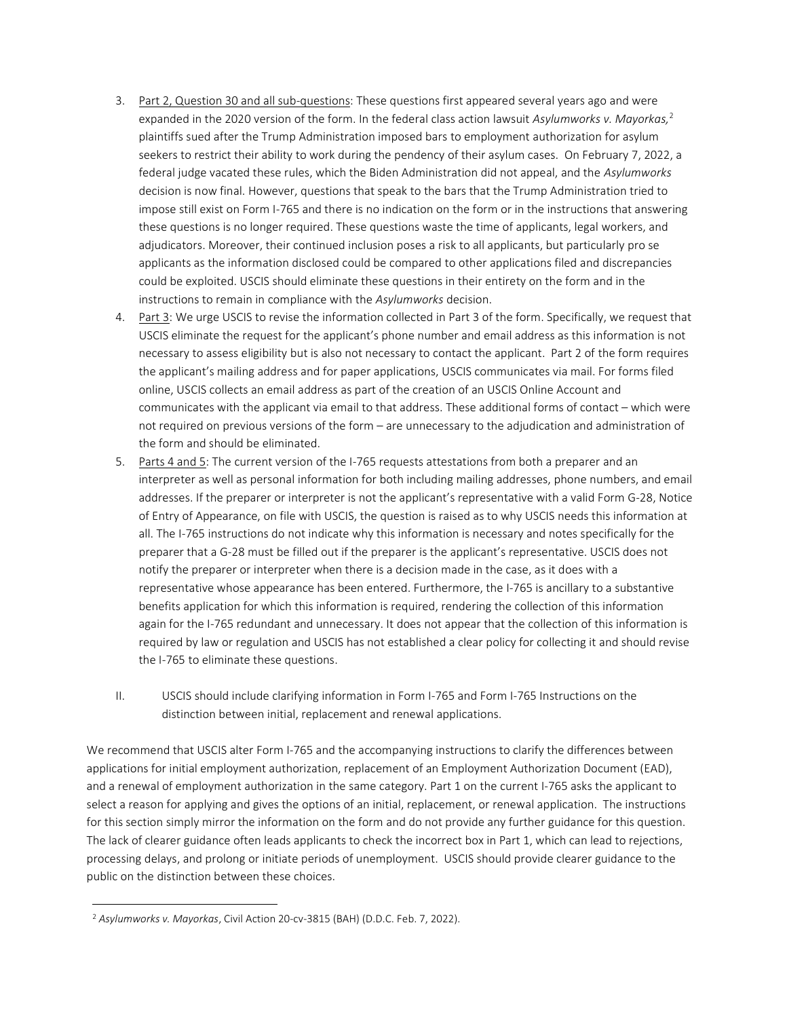- 3. Part 2, Question 30 and all sub-questions: These questions first appeared several years ago and were expanded in the 2020 version of the form. In the federal class action lawsuit Asylumworks v. Mayorkas,<sup>2</sup> plaintiffs sued after the Trump Administration imposed bars to employment authorization for asylum seekers to restrict their ability to work during the pendency of their asylum cases. On February 7, 2022, a federal judge vacated these rules, which the Biden Administration did not appeal, and the Asylumworks decision is now final. However, questions that speak to the bars that the Trump Administration tried to impose still exist on Form I-765 and there is no indication on the form or in the instructions that answering these questions is no longer required. These questions waste the time of applicants, legal workers, and adjudicators. Moreover, their continued inclusion poses a risk to all applicants, but particularly pro se applicants as the information disclosed could be compared to other applications filed and discrepancies could be exploited. USCIS should eliminate these questions in their entirety on the form and in the instructions to remain in compliance with the Asylumworks decision.
- 4. Part 3: We urge USCIS to revise the information collected in Part 3 of the form. Specifically, we request that USCIS eliminate the request for the applicant's phone number and email address as this information is not necessary to assess eligibility but is also not necessary to contact the applicant. Part 2 of the form requires the applicant's mailing address and for paper applications, USCIS communicates via mail. For forms filed online, USCIS collects an email address as part of the creation of an USCIS Online Account and communicates with the applicant via email to that address. These additional forms of contact – which were not required on previous versions of the form – are unnecessary to the adjudication and administration of the form and should be eliminated.
- 5. Parts 4 and 5: The current version of the I-765 requests attestations from both a preparer and an interpreter as well as personal information for both including mailing addresses, phone numbers, and email addresses. If the preparer or interpreter is not the applicant's representative with a valid Form G-28, Notice of Entry of Appearance, on file with USCIS, the question is raised as to why USCIS needs this information at all. The I-765 instructions do not indicate why this information is necessary and notes specifically for the preparer that a G-28 must be filled out if the preparer is the applicant's representative. USCIS does not notify the preparer or interpreter when there is a decision made in the case, as it does with a representative whose appearance has been entered. Furthermore, the I-765 is ancillary to a substantive benefits application for which this information is required, rendering the collection of this information again for the I-765 redundant and unnecessary. It does not appear that the collection of this information is required by law or regulation and USCIS has not established a clear policy for collecting it and should revise the I-765 to eliminate these questions.
- II. USCIS should include clarifying information in Form I-765 and Form I-765 Instructions on the distinction between initial, replacement and renewal applications.

We recommend that USCIS alter Form I-765 and the accompanying instructions to clarify the differences between applications for initial employment authorization, replacement of an Employment Authorization Document (EAD), and a renewal of employment authorization in the same category. Part 1 on the current I-765 asks the applicant to select a reason for applying and gives the options of an initial, replacement, or renewal application. The instructions for this section simply mirror the information on the form and do not provide any further guidance for this question. The lack of clearer guidance often leads applicants to check the incorrect box in Part 1, which can lead to rejections, processing delays, and prolong or initiate periods of unemployment. USCIS should provide clearer guidance to the public on the distinction between these choices.

<sup>2</sup> Asylumworks v. Mayorkas, Civil Action 20-cv-3815 (BAH) (D.D.C. Feb. 7, 2022).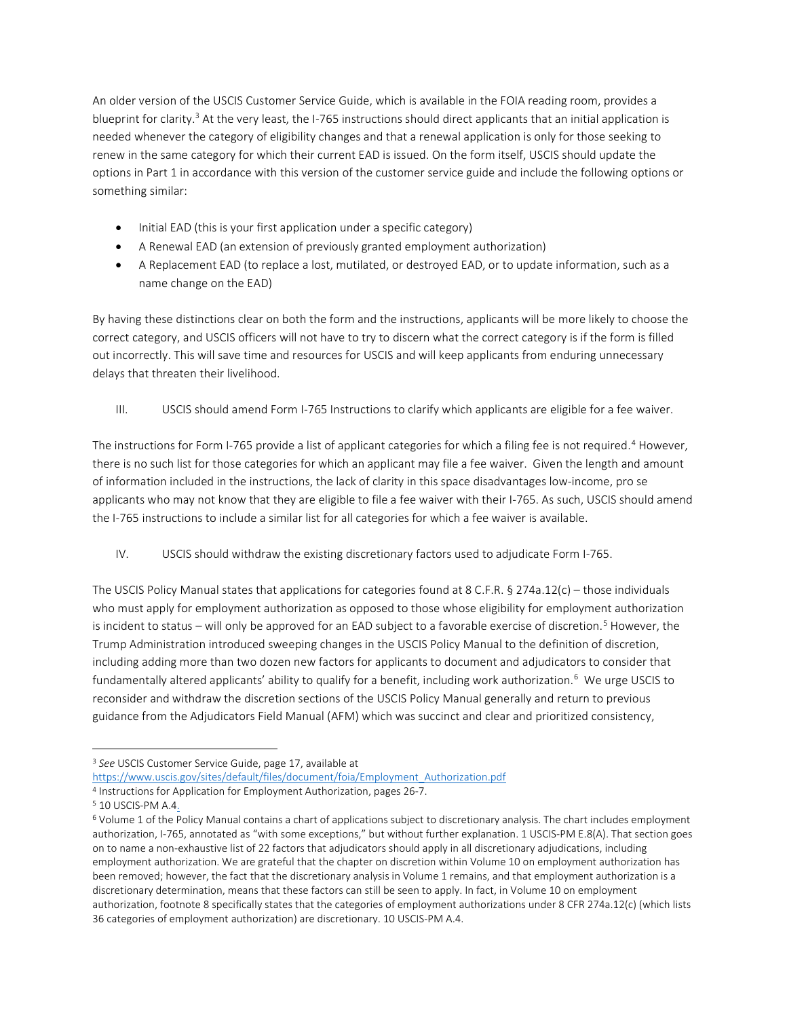An older version of the USCIS Customer Service Guide, which is available in the FOIA reading room, provides a blueprint for clarity.<sup>3</sup> At the very least, the I-765 instructions should direct applicants that an initial application is needed whenever the category of eligibility changes and that a renewal application is only for those seeking to renew in the same category for which their current EAD is issued. On the form itself, USCIS should update the options in Part 1 in accordance with this version of the customer service guide and include the following options or something similar:

- Initial EAD (this is your first application under a specific category)
- A Renewal EAD (an extension of previously granted employment authorization)
- A Replacement EAD (to replace a lost, mutilated, or destroyed EAD, or to update information, such as a name change on the EAD)

By having these distinctions clear on both the form and the instructions, applicants will be more likely to choose the correct category, and USCIS officers will not have to try to discern what the correct category is if the form is filled out incorrectly. This will save time and resources for USCIS and will keep applicants from enduring unnecessary delays that threaten their livelihood.

III. USCIS should amend Form I-765 Instructions to clarify which applicants are eligible for a fee waiver.

The instructions for Form I-765 provide a list of applicant categories for which a filing fee is not required.<sup>4</sup> However, there is no such list for those categories for which an applicant may file a fee waiver. Given the length and amount of information included in the instructions, the lack of clarity in this space disadvantages low-income, pro se applicants who may not know that they are eligible to file a fee waiver with their I-765. As such, USCIS should amend the I-765 instructions to include a similar list for all categories for which a fee waiver is available.

IV. USCIS should withdraw the existing discretionary factors used to adjudicate Form I-765.

The USCIS Policy Manual states that applications for categories found at 8 C.F.R. § 274a.12(c) – those individuals who must apply for employment authorization as opposed to those whose eligibility for employment authorization is incident to status – will only be approved for an EAD subject to a favorable exercise of discretion.<sup>5</sup> However, the Trump Administration introduced sweeping changes in the USCIS Policy Manual to the definition of discretion, including adding more than two dozen new factors for applicants to document and adjudicators to consider that fundamentally altered applicants' ability to qualify for a benefit, including work authorization.<sup>6</sup> We urge USCIS to reconsider and withdraw the discretion sections of the USCIS Policy Manual generally and return to previous guidance from the Adjudicators Field Manual (AFM) which was succinct and clear and prioritized consistency,

<sup>&</sup>lt;sup>3</sup> See USCIS Customer Service Guide, page 17, available at

https://www.uscis.gov/sites/default/files/document/foia/Employment\_Authorization.pdf

<sup>4</sup> Instructions for Application for Employment Authorization, pages 26-7.

<sup>&</sup>lt;sup>5</sup> 10 USCIS-PM A.4.

<sup>6</sup> Volume 1 of the Policy Manual contains a chart of applications subject to discretionary analysis. The chart includes employment authorization, I-765, annotated as "with some exceptions," but without further explanation. 1 USCIS-PM E.8(A). That section goes on to name a non-exhaustive list of 22 factors that adjudicators should apply in all discretionary adjudications, including employment authorization. We are grateful that the chapter on discretion within Volume 10 on employment authorization has been removed; however, the fact that the discretionary analysis in Volume 1 remains, and that employment authorization is a discretionary determination, means that these factors can still be seen to apply. In fact, in Volume 10 on employment authorization, footnote 8 specifically states that the categories of employment authorizations under 8 CFR 274a.12(c) (which lists 36 categories of employment authorization) are discretionary. 10 USCIS-PM A.4.